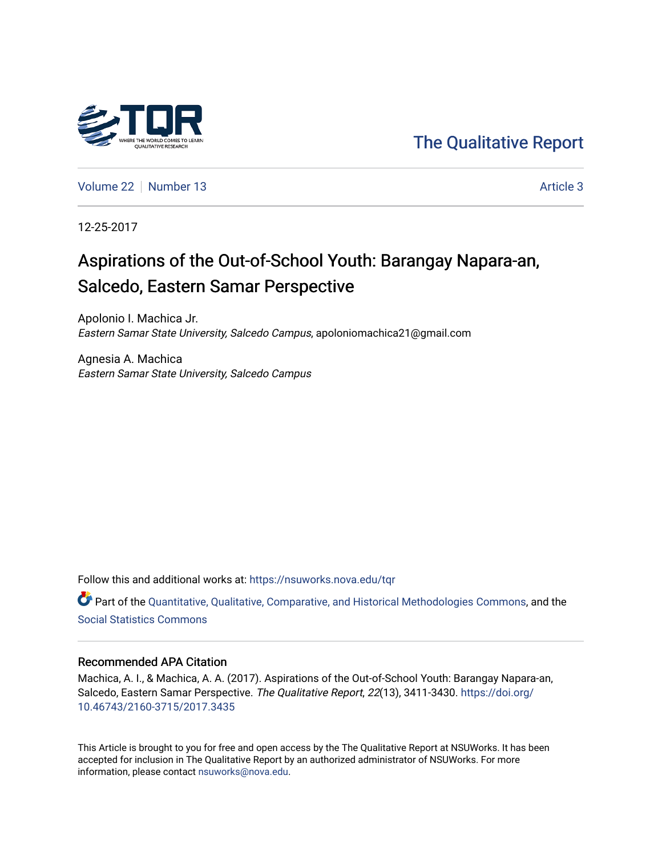

[The Qualitative Report](https://nsuworks.nova.edu/tqr) 

[Volume 22](https://nsuworks.nova.edu/tqr/vol22) [Number 13](https://nsuworks.nova.edu/tqr/vol22/iss13) Article 3

12-25-2017

## Aspirations of the Out-of-School Youth: Barangay Napara-an, Salcedo, Eastern Samar Perspective

Apolonio I. Machica Jr. Eastern Samar State University, Salcedo Campus, apoloniomachica21@gmail.com

Agnesia A. Machica Eastern Samar State University, Salcedo Campus

Follow this and additional works at: [https://nsuworks.nova.edu/tqr](https://nsuworks.nova.edu/tqr?utm_source=nsuworks.nova.edu%2Ftqr%2Fvol22%2Fiss13%2F3&utm_medium=PDF&utm_campaign=PDFCoverPages) 

Part of the [Quantitative, Qualitative, Comparative, and Historical Methodologies Commons,](http://network.bepress.com/hgg/discipline/423?utm_source=nsuworks.nova.edu%2Ftqr%2Fvol22%2Fiss13%2F3&utm_medium=PDF&utm_campaign=PDFCoverPages) and the [Social Statistics Commons](http://network.bepress.com/hgg/discipline/1275?utm_source=nsuworks.nova.edu%2Ftqr%2Fvol22%2Fiss13%2F3&utm_medium=PDF&utm_campaign=PDFCoverPages) 

#### Recommended APA Citation

Machica, A. I., & Machica, A. A. (2017). Aspirations of the Out-of-School Youth: Barangay Napara-an, Salcedo, Eastern Samar Perspective. The Qualitative Report, 22(13), 3411-3430. [https://doi.org/](https://doi.org/10.46743/2160-3715/2017.3435) [10.46743/2160-3715/2017.3435](https://doi.org/10.46743/2160-3715/2017.3435)

This Article is brought to you for free and open access by the The Qualitative Report at NSUWorks. It has been accepted for inclusion in The Qualitative Report by an authorized administrator of NSUWorks. For more information, please contact [nsuworks@nova.edu.](mailto:nsuworks@nova.edu)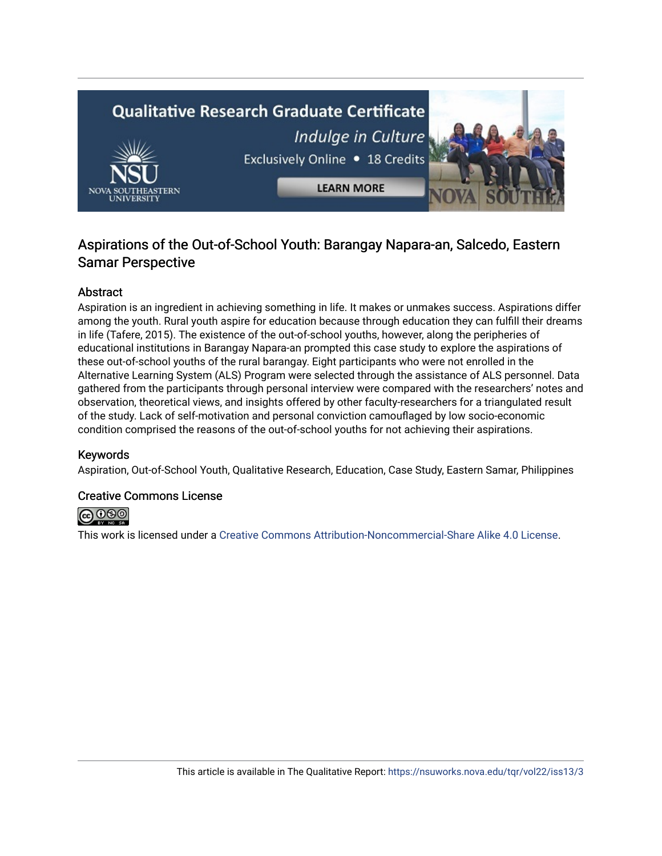# **Qualitative Research Graduate Certificate** Indulge in Culture Exclusively Online . 18 Credits **LEARN MORE**

### Aspirations of the Out-of-School Youth: Barangay Napara-an, Salcedo, Eastern Samar Perspective

#### Abstract

Aspiration is an ingredient in achieving something in life. It makes or unmakes success. Aspirations differ among the youth. Rural youth aspire for education because through education they can fulfill their dreams in life (Tafere, 2015). The existence of the out-of-school youths, however, along the peripheries of educational institutions in Barangay Napara-an prompted this case study to explore the aspirations of these out-of-school youths of the rural barangay. Eight participants who were not enrolled in the Alternative Learning System (ALS) Program were selected through the assistance of ALS personnel. Data gathered from the participants through personal interview were compared with the researchers' notes and observation, theoretical views, and insights offered by other faculty-researchers for a triangulated result of the study. Lack of self-motivation and personal conviction camouflaged by low socio-economic condition comprised the reasons of the out-of-school youths for not achieving their aspirations.

#### Keywords

Aspiration, Out-of-School Youth, Qualitative Research, Education, Case Study, Eastern Samar, Philippines

#### Creative Commons License



This work is licensed under a [Creative Commons Attribution-Noncommercial-Share Alike 4.0 License](https://creativecommons.org/licenses/by-nc-sa/4.0/).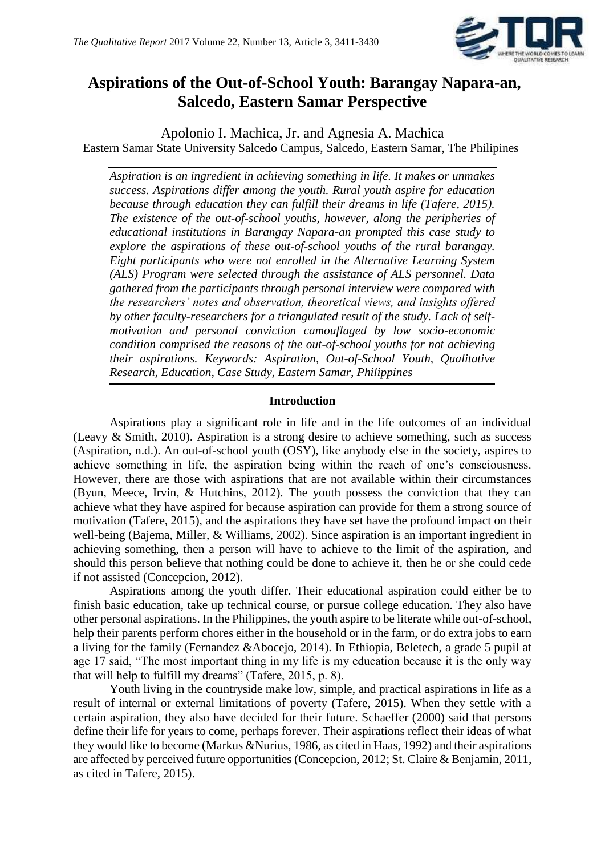

## **Aspirations of the Out-of-School Youth: Barangay Napara-an, Salcedo, Eastern Samar Perspective**

Apolonio I. Machica, Jr. and Agnesia A. Machica Eastern Samar State University Salcedo Campus, Salcedo, Eastern Samar, The Philipines

*Aspiration is an ingredient in achieving something in life. It makes or unmakes success. Aspirations differ among the youth. Rural youth aspire for education because through education they can fulfill their dreams in life (Tafere, 2015). The existence of the out-of-school youths, however, along the peripheries of educational institutions in Barangay Napara-an prompted this case study to explore the aspirations of these out-of-school youths of the rural barangay. Eight participants who were not enrolled in the Alternative Learning System (ALS) Program were selected through the assistance of ALS personnel. Data gathered from the participants through personal interview were compared with the researchers' notes and observation, theoretical views, and insights offered by other faculty-researchers for a triangulated result of the study. Lack of selfmotivation and personal conviction camouflaged by low socio-economic condition comprised the reasons of the out-of-school youths for not achieving their aspirations. Keywords: Aspiration, Out-of-School Youth, Qualitative Research, Education, Case Study, Eastern Samar, Philippines*

#### **Introduction**

Aspirations play a significant role in life and in the life outcomes of an individual (Leavy & Smith, 2010). Aspiration is a strong desire to achieve something, such as success (Aspiration, n.d.). An out-of-school youth (OSY), like anybody else in the society, aspires to achieve something in life, the aspiration being within the reach of one's consciousness. However, there are those with aspirations that are not available within their circumstances (Byun, Meece, Irvin, & Hutchins, 2012). The youth possess the conviction that they can achieve what they have aspired for because aspiration can provide for them a strong source of motivation (Tafere, 2015), and the aspirations they have set have the profound impact on their well-being (Bajema, Miller, & Williams, 2002). Since aspiration is an important ingredient in achieving something, then a person will have to achieve to the limit of the aspiration, and should this person believe that nothing could be done to achieve it, then he or she could cede if not assisted (Concepcion, 2012).

Aspirations among the youth differ. Their educational aspiration could either be to finish basic education, take up technical course, or pursue college education. They also have other personal aspirations. In the Philippines, the youth aspire to be literate while out-of-school, help their parents perform chores either in the household or in the farm, or do extra jobs to earn a living for the family (Fernandez &Abocejo, 2014). In Ethiopia, Beletech, a grade 5 pupil at age 17 said, "The most important thing in my life is my education because it is the only way that will help to fulfill my dreams" (Tafere, 2015, p. 8).

Youth living in the countryside make low, simple, and practical aspirations in life as a result of internal or external limitations of poverty (Tafere, 2015). When they settle with a certain aspiration, they also have decided for their future. Schaeffer (2000) said that persons define their life for years to come, perhaps forever. Their aspirations reflect their ideas of what they would like to become (Markus &Nurius, 1986, as cited in Haas, 1992) and their aspirations are affected by perceived future opportunities (Concepcion, 2012; St. Claire & Benjamin, 2011, as cited in Tafere, 2015).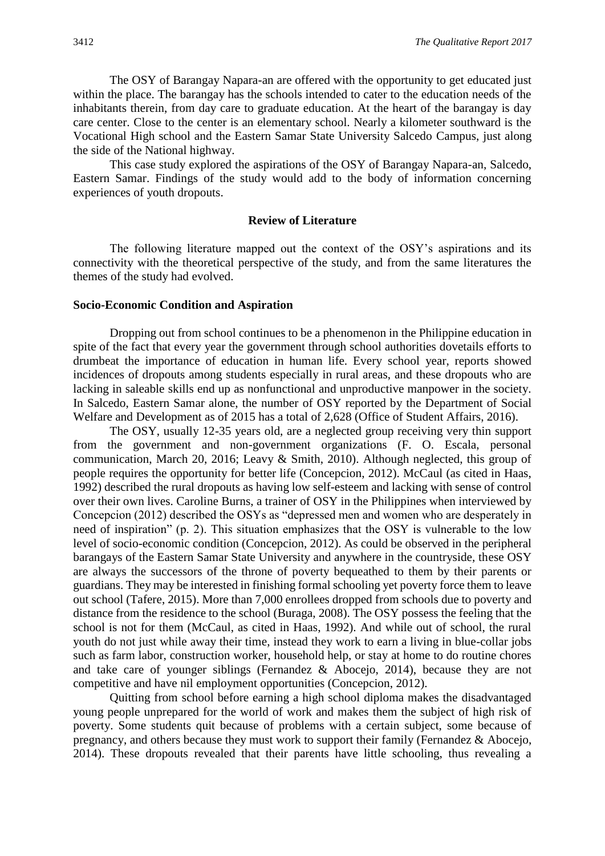The OSY of Barangay Napara-an are offered with the opportunity to get educated just within the place. The barangay has the schools intended to cater to the education needs of the inhabitants therein, from day care to graduate education. At the heart of the barangay is day care center. Close to the center is an elementary school. Nearly a kilometer southward is the Vocational High school and the Eastern Samar State University Salcedo Campus, just along the side of the National highway.

This case study explored the aspirations of the OSY of Barangay Napara-an, Salcedo, Eastern Samar. Findings of the study would add to the body of information concerning experiences of youth dropouts.

#### **Review of Literature**

The following literature mapped out the context of the OSY's aspirations and its connectivity with the theoretical perspective of the study, and from the same literatures the themes of the study had evolved.

#### **Socio-Economic Condition and Aspiration**

Dropping out from school continues to be a phenomenon in the Philippine education in spite of the fact that every year the government through school authorities dovetails efforts to drumbeat the importance of education in human life. Every school year, reports showed incidences of dropouts among students especially in rural areas, and these dropouts who are lacking in saleable skills end up as nonfunctional and unproductive manpower in the society. In Salcedo, Eastern Samar alone, the number of OSY reported by the Department of Social Welfare and Development as of 2015 has a total of 2,628 (Office of Student Affairs, 2016).

The OSY, usually 12-35 years old, are a neglected group receiving very thin support from the government and non-government organizations (F. O. Escala, personal communication, March 20, 2016; Leavy & Smith, 2010). Although neglected, this group of people requires the opportunity for better life (Concepcion, 2012). McCaul (as cited in Haas, 1992) described the rural dropouts as having low self-esteem and lacking with sense of control over their own lives. Caroline Burns, a trainer of OSY in the Philippines when interviewed by Concepcion (2012) described the OSYs as "depressed men and women who are desperately in need of inspiration" (p. 2). This situation emphasizes that the OSY is vulnerable to the low level of socio-economic condition (Concepcion, 2012). As could be observed in the peripheral barangays of the Eastern Samar State University and anywhere in the countryside, these OSY are always the successors of the throne of poverty bequeathed to them by their parents or guardians. They may be interested in finishing formal schooling yet poverty force them to leave out school (Tafere, 2015). More than 7,000 enrollees dropped from schools due to poverty and distance from the residence to the school (Buraga, 2008). The OSY possess the feeling that the school is not for them (McCaul, as cited in Haas, 1992). And while out of school, the rural youth do not just while away their time, instead they work to earn a living in blue-collar jobs such as farm labor, construction worker, household help, or stay at home to do routine chores and take care of younger siblings (Fernandez & Abocejo, 2014), because they are not competitive and have nil employment opportunities (Concepcion, 2012).

Quitting from school before earning a high school diploma makes the disadvantaged young people unprepared for the world of work and makes them the subject of high risk of poverty. Some students quit because of problems with a certain subject, some because of pregnancy, and others because they must work to support their family (Fernandez & Abocejo, 2014). These dropouts revealed that their parents have little schooling, thus revealing a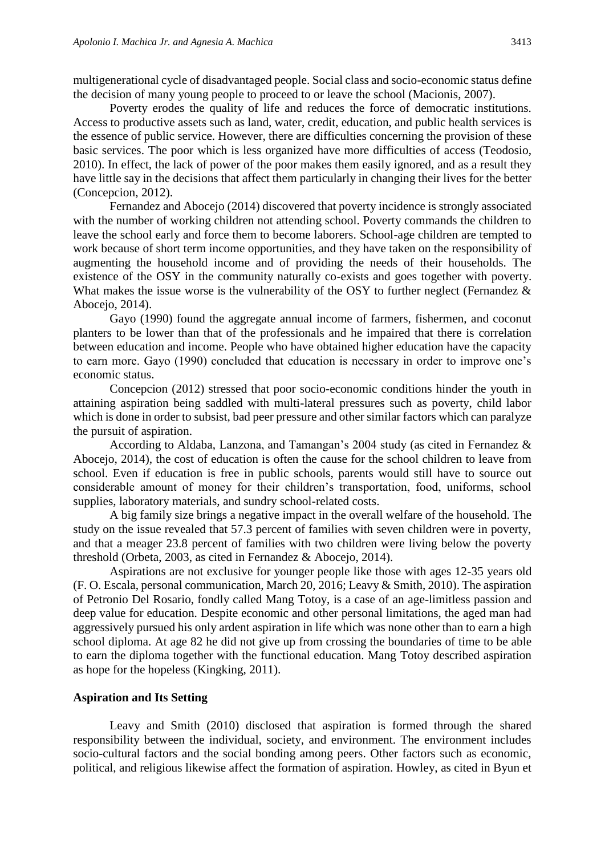multigenerational cycle of disadvantaged people. Social class and socio-economic status define the decision of many young people to proceed to or leave the school (Macionis, 2007).

Poverty erodes the quality of life and reduces the force of democratic institutions. Access to productive assets such as land, water, credit, education, and public health services is the essence of public service. However, there are difficulties concerning the provision of these basic services. The poor which is less organized have more difficulties of access (Teodosio, 2010). In effect, the lack of power of the poor makes them easily ignored, and as a result they have little say in the decisions that affect them particularly in changing their lives for the better (Concepcion, 2012).

Fernandez and Abocejo (2014) discovered that poverty incidence is strongly associated with the number of working children not attending school. Poverty commands the children to leave the school early and force them to become laborers. School-age children are tempted to work because of short term income opportunities, and they have taken on the responsibility of augmenting the household income and of providing the needs of their households. The existence of the OSY in the community naturally co-exists and goes together with poverty. What makes the issue worse is the vulnerability of the OSY to further neglect (Fernandez & Abocejo, 2014).

Gayo (1990) found the aggregate annual income of farmers, fishermen, and coconut planters to be lower than that of the professionals and he impaired that there is correlation between education and income. People who have obtained higher education have the capacity to earn more. Gayo (1990) concluded that education is necessary in order to improve one's economic status.

Concepcion (2012) stressed that poor socio-economic conditions hinder the youth in attaining aspiration being saddled with multi-lateral pressures such as poverty, child labor which is done in order to subsist, bad peer pressure and other similar factors which can paralyze the pursuit of aspiration.

According to Aldaba, Lanzona, and Tamangan's 2004 study (as cited in Fernandez & Abocejo, 2014), the cost of education is often the cause for the school children to leave from school. Even if education is free in public schools, parents would still have to source out considerable amount of money for their children's transportation, food, uniforms, school supplies, laboratory materials, and sundry school-related costs.

A big family size brings a negative impact in the overall welfare of the household. The study on the issue revealed that 57.3 percent of families with seven children were in poverty, and that a meager 23.8 percent of families with two children were living below the poverty threshold (Orbeta, 2003, as cited in Fernandez & Abocejo, 2014).

Aspirations are not exclusive for younger people like those with ages 12-35 years old (F. O. Escala, personal communication, March 20, 2016; Leavy & Smith, 2010). The aspiration of Petronio Del Rosario, fondly called Mang Totoy, is a case of an age-limitless passion and deep value for education. Despite economic and other personal limitations, the aged man had aggressively pursued his only ardent aspiration in life which was none other than to earn a high school diploma. At age 82 he did not give up from crossing the boundaries of time to be able to earn the diploma together with the functional education. Mang Totoy described aspiration as hope for the hopeless (Kingking, 2011).

#### **Aspiration and Its Setting**

Leavy and Smith (2010) disclosed that aspiration is formed through the shared responsibility between the individual, society, and environment. The environment includes socio-cultural factors and the social bonding among peers. Other factors such as economic, political, and religious likewise affect the formation of aspiration. Howley, as cited in Byun et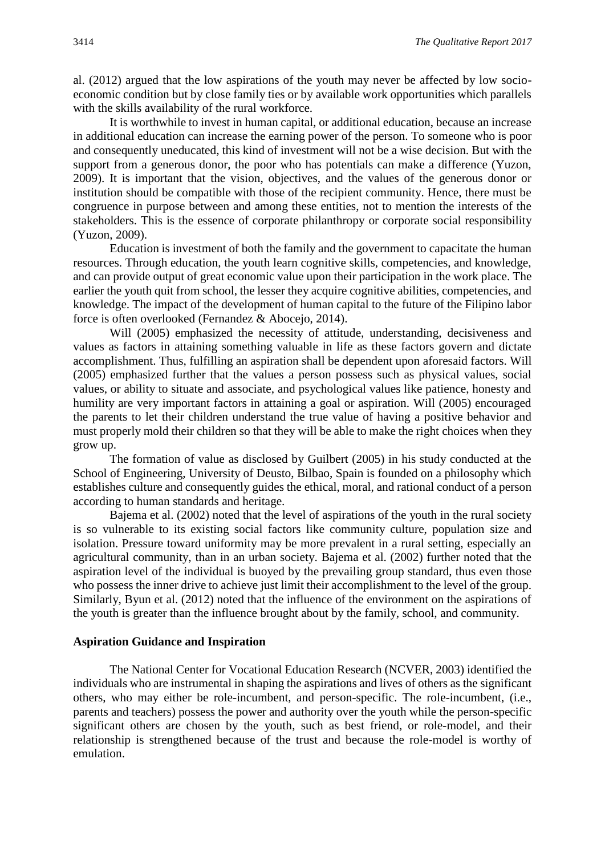al. (2012) argued that the low aspirations of the youth may never be affected by low socioeconomic condition but by close family ties or by available work opportunities which parallels with the skills availability of the rural workforce.

It is worthwhile to invest in human capital, or additional education, because an increase in additional education can increase the earning power of the person. To someone who is poor and consequently uneducated, this kind of investment will not be a wise decision. But with the support from a generous donor, the poor who has potentials can make a difference (Yuzon, 2009). It is important that the vision, objectives, and the values of the generous donor or institution should be compatible with those of the recipient community. Hence, there must be congruence in purpose between and among these entities, not to mention the interests of the stakeholders. This is the essence of corporate philanthropy or corporate social responsibility (Yuzon, 2009).

Education is investment of both the family and the government to capacitate the human resources. Through education, the youth learn cognitive skills, competencies, and knowledge, and can provide output of great economic value upon their participation in the work place. The earlier the youth quit from school, the lesser they acquire cognitive abilities, competencies, and knowledge. The impact of the development of human capital to the future of the Filipino labor force is often overlooked (Fernandez & Abocejo, 2014).

Will (2005) emphasized the necessity of attitude, understanding, decisiveness and values as factors in attaining something valuable in life as these factors govern and dictate accomplishment. Thus, fulfilling an aspiration shall be dependent upon aforesaid factors. Will (2005) emphasized further that the values a person possess such as physical values, social values, or ability to situate and associate, and psychological values like patience, honesty and humility are very important factors in attaining a goal or aspiration. Will (2005) encouraged the parents to let their children understand the true value of having a positive behavior and must properly mold their children so that they will be able to make the right choices when they grow up.

The formation of value as disclosed by Guilbert (2005) in his study conducted at the School of Engineering, University of Deusto, Bilbao, Spain is founded on a philosophy which establishes culture and consequently guides the ethical, moral, and rational conduct of a person according to human standards and heritage.

Bajema et al. (2002) noted that the level of aspirations of the youth in the rural society is so vulnerable to its existing social factors like community culture, population size and isolation. Pressure toward uniformity may be more prevalent in a rural setting, especially an agricultural community, than in an urban society. Bajema et al. (2002) further noted that the aspiration level of the individual is buoyed by the prevailing group standard, thus even those who possess the inner drive to achieve just limit their accomplishment to the level of the group. Similarly, Byun et al. (2012) noted that the influence of the environment on the aspirations of the youth is greater than the influence brought about by the family, school, and community.

#### **Aspiration Guidance and Inspiration**

The National Center for Vocational Education Research (NCVER, 2003) identified the individuals who are instrumental in shaping the aspirations and lives of others as the significant others, who may either be role-incumbent, and person-specific. The role-incumbent, (i.e., parents and teachers) possess the power and authority over the youth while the person-specific significant others are chosen by the youth, such as best friend, or role-model, and their relationship is strengthened because of the trust and because the role-model is worthy of emulation.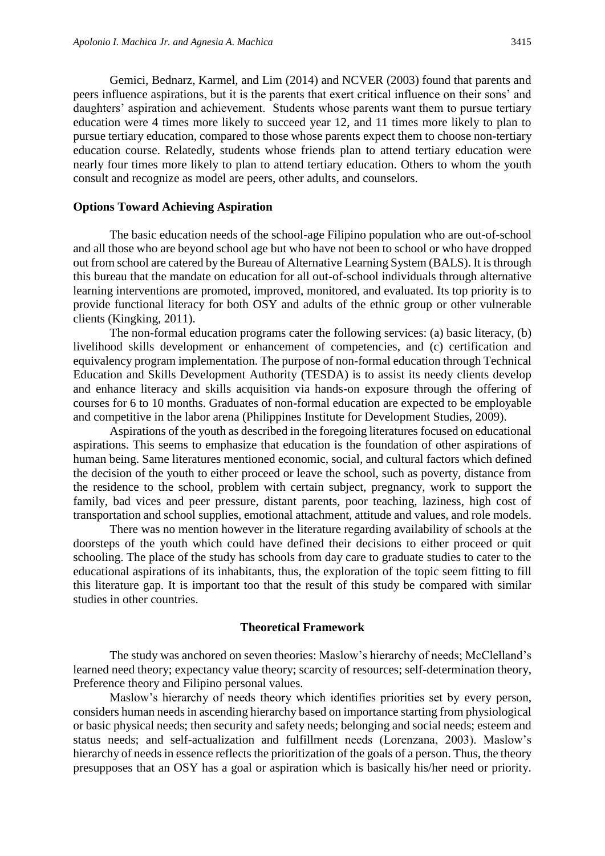Gemici, Bednarz, Karmel, and Lim (2014) and NCVER (2003) found that parents and peers influence aspirations, but it is the parents that exert critical influence on their sons' and daughters' aspiration and achievement. Students whose parents want them to pursue tertiary education were 4 times more likely to succeed year 12, and 11 times more likely to plan to pursue tertiary education, compared to those whose parents expect them to choose non-tertiary education course. Relatedly, students whose friends plan to attend tertiary education were nearly four times more likely to plan to attend tertiary education. Others to whom the youth consult and recognize as model are peers, other adults, and counselors.

#### **Options Toward Achieving Aspiration**

The basic education needs of the school-age Filipino population who are out-of-school and all those who are beyond school age but who have not been to school or who have dropped out from school are catered by the Bureau of Alternative Learning System (BALS). It is through this bureau that the mandate on education for all out-of-school individuals through alternative learning interventions are promoted, improved, monitored, and evaluated. Its top priority is to provide functional literacy for both OSY and adults of the ethnic group or other vulnerable clients (Kingking, 2011).

The non-formal education programs cater the following services: (a) basic literacy, (b) livelihood skills development or enhancement of competencies, and (c) certification and equivalency program implementation. The purpose of non-formal education through Technical Education and Skills Development Authority (TESDA) is to assist its needy clients develop and enhance literacy and skills acquisition via hands-on exposure through the offering of courses for 6 to 10 months. Graduates of non-formal education are expected to be employable and competitive in the labor arena (Philippines Institute for Development Studies, 2009).

Aspirations of the youth as described in the foregoing literatures focused on educational aspirations. This seems to emphasize that education is the foundation of other aspirations of human being. Same literatures mentioned economic, social, and cultural factors which defined the decision of the youth to either proceed or leave the school, such as poverty, distance from the residence to the school, problem with certain subject, pregnancy, work to support the family, bad vices and peer pressure, distant parents, poor teaching, laziness, high cost of transportation and school supplies, emotional attachment, attitude and values, and role models.

There was no mention however in the literature regarding availability of schools at the doorsteps of the youth which could have defined their decisions to either proceed or quit schooling. The place of the study has schools from day care to graduate studies to cater to the educational aspirations of its inhabitants, thus, the exploration of the topic seem fitting to fill this literature gap. It is important too that the result of this study be compared with similar studies in other countries.

#### **Theoretical Framework**

The study was anchored on seven theories: Maslow's hierarchy of needs; McClelland's learned need theory; expectancy value theory; scarcity of resources; self-determination theory, Preference theory and Filipino personal values.

Maslow's hierarchy of needs theory which identifies priorities set by every person, considers human needs in ascending hierarchy based on importance starting from physiological or basic physical needs; then security and safety needs; belonging and social needs; esteem and status needs; and self-actualization and fulfillment needs (Lorenzana, 2003). Maslow's hierarchy of needs in essence reflects the prioritization of the goals of a person. Thus, the theory presupposes that an OSY has a goal or aspiration which is basically his/her need or priority.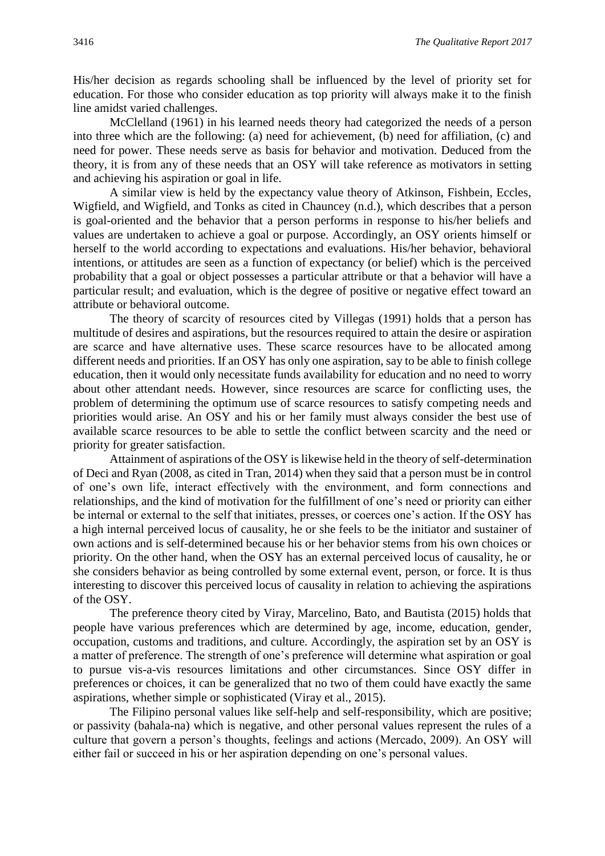His/her decision as regards schooling shall be influenced by the level of priority set for education. For those who consider education as top priority will always make it to the finish line amidst varied challenges.

McClelland (1961) in his learned needs theory had categorized the needs of a person into three which are the following: (a) need for achievement, (b) need for affiliation, (c) and need for power. These needs serve as basis for behavior and motivation. Deduced from the theory, it is from any of these needs that an OSY will take reference as motivators in setting and achieving his aspiration or goal in life.

A similar view is held by the expectancy value theory of Atkinson, Fishbein, Eccles, Wigfield, and Wigfield, and Tonks as cited in Chauncey (n.d.), which describes that a person is goal-oriented and the behavior that a person performs in response to his/her beliefs and values are undertaken to achieve a goal or purpose. Accordingly, an OSY orients himself or herself to the world according to expectations and evaluations. His/her behavior, behavioral intentions, or attitudes are seen as a function of expectancy (or belief) which is the perceived probability that a goal or object possesses a particular attribute or that a behavior will have a particular result; and evaluation, which is the degree of positive or negative effect toward an attribute or behavioral outcome.

The theory of scarcity of resources cited by Villegas (1991) holds that a person has multitude of desires and aspirations, but the resources required to attain the desire or aspiration are scarce and have alternative uses. These scarce resources have to be allocated among different needs and priorities. If an OSY has only one aspiration, say to be able to finish college education, then it would only necessitate funds availability for education and no need to worry about other attendant needs. However, since resources are scarce for conflicting uses, the problem of determining the optimum use of scarce resources to satisfy competing needs and priorities would arise. An OSY and his or her family must always consider the best use of available scarce resources to be able to settle the conflict between scarcity and the need or priority for greater satisfaction.

Attainment of aspirations of the OSY is likewise held in the theory of self-determination of Deci and Ryan (2008, as cited in Tran, 2014) when they said that a person must be in control of one's own life, interact effectively with the environment, and form connections and relationships, and the kind of motivation for the fulfillment of one's need or priority can either be internal or external to the self that initiates, presses, or coerces one's action. If the OSY has a high internal perceived locus of causality, he or she feels to be the initiator and sustainer of own actions and is self-determined because his or her behavior stems from his own choices or priority. On the other hand, when the OSY has an external perceived locus of causality, he or she considers behavior as being controlled by some external event, person, or force. It is thus interesting to discover this perceived locus of causality in relation to achieving the aspirations of the OSY.

The preference theory cited by Viray, Marcelino, Bato, and Bautista (2015) holds that people have various preferences which are determined by age, income, education, gender, occupation, customs and traditions, and culture. Accordingly, the aspiration set by an OSY is a matter of preference. The strength of one's preference will determine what aspiration or goal to pursue vis-a-vis resources limitations and other circumstances. Since OSY differ in preferences or choices, it can be generalized that no two of them could have exactly the same aspirations, whether simple or sophisticated (Viray et al., 2015).

The Filipino personal values like self-help and self-responsibility, which are positive; or passivity (bahala-na) which is negative, and other personal values represent the rules of a culture that govern a person's thoughts, feelings and actions (Mercado, 2009). An OSY will either fail or succeed in his or her aspiration depending on one's personal values.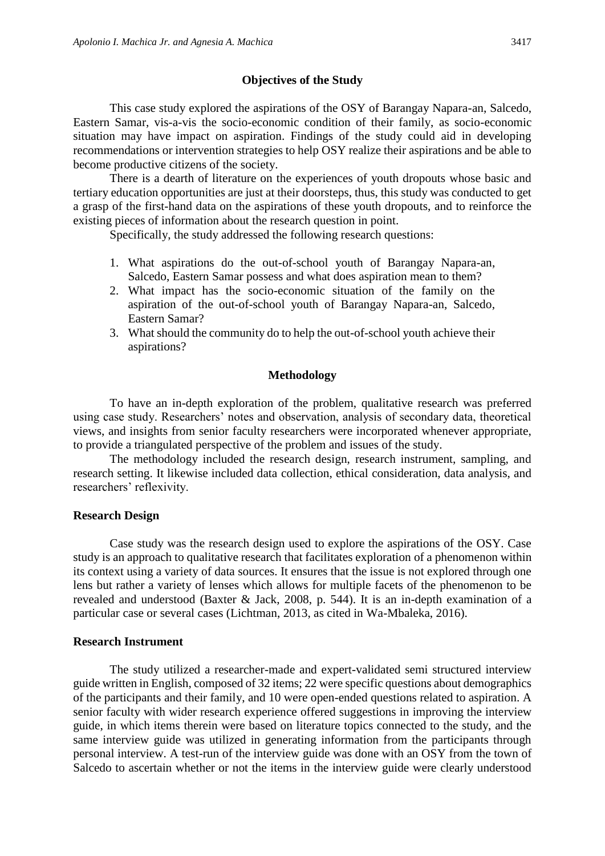#### **Objectives of the Study**

This case study explored the aspirations of the OSY of Barangay Napara-an, Salcedo, Eastern Samar, vis-a-vis the socio-economic condition of their family, as socio-economic situation may have impact on aspiration. Findings of the study could aid in developing recommendations or intervention strategies to help OSY realize their aspirations and be able to become productive citizens of the society.

There is a dearth of literature on the experiences of youth dropouts whose basic and tertiary education opportunities are just at their doorsteps, thus, this study was conducted to get a grasp of the first-hand data on the aspirations of these youth dropouts, and to reinforce the existing pieces of information about the research question in point.

Specifically, the study addressed the following research questions:

- 1. What aspirations do the out-of-school youth of Barangay Napara-an, Salcedo, Eastern Samar possess and what does aspiration mean to them?
- 2. What impact has the socio-economic situation of the family on the aspiration of the out-of-school youth of Barangay Napara-an, Salcedo, Eastern Samar?
- 3. What should the community do to help the out-of-school youth achieve their aspirations?

#### **Methodology**

To have an in-depth exploration of the problem, qualitative research was preferred using case study. Researchers' notes and observation, analysis of secondary data, theoretical views, and insights from senior faculty researchers were incorporated whenever appropriate, to provide a triangulated perspective of the problem and issues of the study.

The methodology included the research design, research instrument, sampling, and research setting. It likewise included data collection, ethical consideration, data analysis, and researchers' reflexivity.

#### **Research Design**

Case study was the research design used to explore the aspirations of the OSY. Case study is an approach to qualitative research that facilitates exploration of a phenomenon within its context using a variety of data sources. It ensures that the issue is not explored through one lens but rather a variety of lenses which allows for multiple facets of the phenomenon to be revealed and understood (Baxter & Jack, 2008, p. 544). It is an in-depth examination of a particular case or several cases (Lichtman, 2013, as cited in Wa-Mbaleka, 2016).

#### **Research Instrument**

The study utilized a researcher-made and expert-validated semi structured interview guide written in English, composed of 32 items; 22 were specific questions about demographics of the participants and their family, and 10 were open-ended questions related to aspiration. A senior faculty with wider research experience offered suggestions in improving the interview guide, in which items therein were based on literature topics connected to the study, and the same interview guide was utilized in generating information from the participants through personal interview. A test-run of the interview guide was done with an OSY from the town of Salcedo to ascertain whether or not the items in the interview guide were clearly understood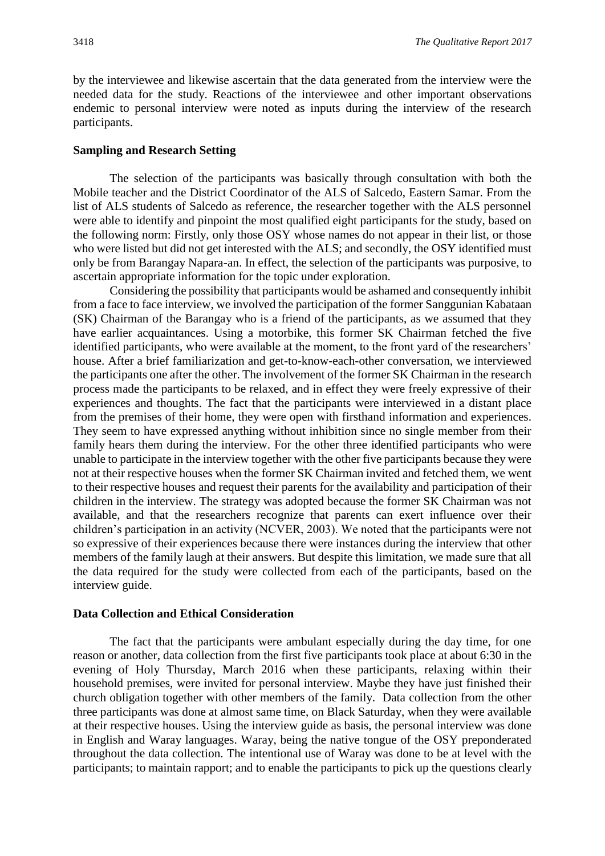by the interviewee and likewise ascertain that the data generated from the interview were the needed data for the study. Reactions of the interviewee and other important observations endemic to personal interview were noted as inputs during the interview of the research participants.

#### **Sampling and Research Setting**

The selection of the participants was basically through consultation with both the Mobile teacher and the District Coordinator of the ALS of Salcedo, Eastern Samar. From the list of ALS students of Salcedo as reference, the researcher together with the ALS personnel were able to identify and pinpoint the most qualified eight participants for the study, based on the following norm: Firstly, only those OSY whose names do not appear in their list, or those who were listed but did not get interested with the ALS; and secondly, the OSY identified must only be from Barangay Napara-an. In effect, the selection of the participants was purposive, to ascertain appropriate information for the topic under exploration.

Considering the possibility that participants would be ashamed and consequently inhibit from a face to face interview, we involved the participation of the former Sanggunian Kabataan (SK) Chairman of the Barangay who is a friend of the participants, as we assumed that they have earlier acquaintances. Using a motorbike, this former SK Chairman fetched the five identified participants, who were available at the moment, to the front yard of the researchers' house. After a brief familiarization and get-to-know-each-other conversation, we interviewed the participants one after the other. The involvement of the former SK Chairman in the research process made the participants to be relaxed, and in effect they were freely expressive of their experiences and thoughts. The fact that the participants were interviewed in a distant place from the premises of their home, they were open with firsthand information and experiences. They seem to have expressed anything without inhibition since no single member from their family hears them during the interview. For the other three identified participants who were unable to participate in the interview together with the other five participants because they were not at their respective houses when the former SK Chairman invited and fetched them, we went to their respective houses and request their parents for the availability and participation of their children in the interview. The strategy was adopted because the former SK Chairman was not available, and that the researchers recognize that parents can exert influence over their children's participation in an activity (NCVER, 2003). We noted that the participants were not so expressive of their experiences because there were instances during the interview that other members of the family laugh at their answers. But despite this limitation, we made sure that all the data required for the study were collected from each of the participants, based on the interview guide.

#### **Data Collection and Ethical Consideration**

The fact that the participants were ambulant especially during the day time, for one reason or another, data collection from the first five participants took place at about 6:30 in the evening of Holy Thursday, March 2016 when these participants, relaxing within their household premises, were invited for personal interview. Maybe they have just finished their church obligation together with other members of the family. Data collection from the other three participants was done at almost same time, on Black Saturday, when they were available at their respective houses. Using the interview guide as basis, the personal interview was done in English and Waray languages. Waray, being the native tongue of the OSY preponderated throughout the data collection. The intentional use of Waray was done to be at level with the participants; to maintain rapport; and to enable the participants to pick up the questions clearly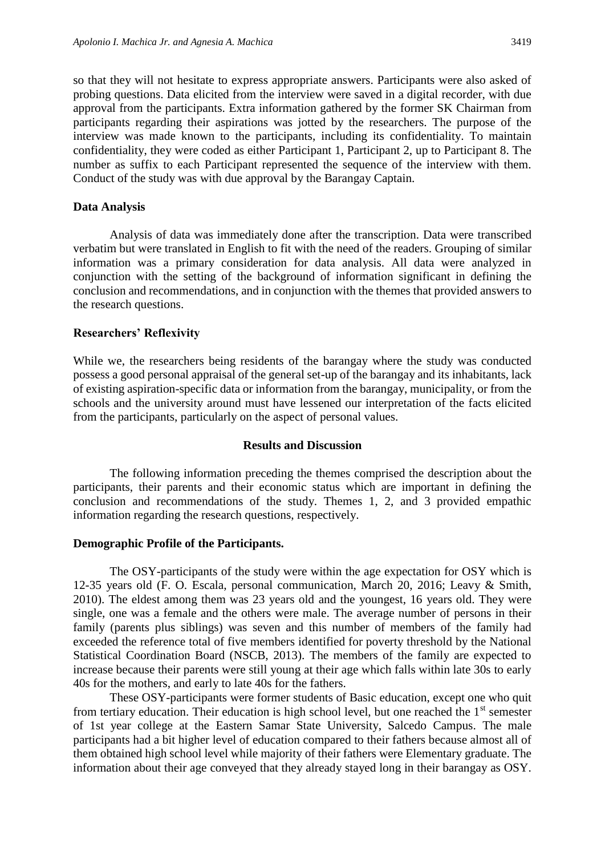so that they will not hesitate to express appropriate answers. Participants were also asked of probing questions. Data elicited from the interview were saved in a digital recorder, with due approval from the participants. Extra information gathered by the former SK Chairman from participants regarding their aspirations was jotted by the researchers. The purpose of the interview was made known to the participants, including its confidentiality. To maintain confidentiality, they were coded as either Participant 1, Participant 2, up to Participant 8. The number as suffix to each Participant represented the sequence of the interview with them. Conduct of the study was with due approval by the Barangay Captain.

#### **Data Analysis**

Analysis of data was immediately done after the transcription. Data were transcribed verbatim but were translated in English to fit with the need of the readers. Grouping of similar information was a primary consideration for data analysis. All data were analyzed in conjunction with the setting of the background of information significant in defining the conclusion and recommendations, and in conjunction with the themes that provided answers to the research questions.

#### **Researchers' Reflexivity**

While we, the researchers being residents of the barangay where the study was conducted possess a good personal appraisal of the general set-up of the barangay and its inhabitants, lack of existing aspiration-specific data or information from the barangay, municipality, or from the schools and the university around must have lessened our interpretation of the facts elicited from the participants, particularly on the aspect of personal values.

#### **Results and Discussion**

The following information preceding the themes comprised the description about the participants, their parents and their economic status which are important in defining the conclusion and recommendations of the study. Themes 1, 2, and 3 provided empathic information regarding the research questions, respectively.

#### **Demographic Profile of the Participants.**

The OSY-participants of the study were within the age expectation for OSY which is 12-35 years old (F. O. Escala, personal communication, March 20, 2016; Leavy & Smith, 2010). The eldest among them was 23 years old and the youngest, 16 years old. They were single, one was a female and the others were male. The average number of persons in their family (parents plus siblings) was seven and this number of members of the family had exceeded the reference total of five members identified for poverty threshold by the National Statistical Coordination Board (NSCB, 2013). The members of the family are expected to increase because their parents were still young at their age which falls within late 30s to early 40s for the mothers, and early to late 40s for the fathers.

These OSY-participants were former students of Basic education, except one who quit from tertiary education. Their education is high school level, but one reached the  $1<sup>st</sup>$  semester of 1st year college at the Eastern Samar State University, Salcedo Campus. The male participants had a bit higher level of education compared to their fathers because almost all of them obtained high school level while majority of their fathers were Elementary graduate. The information about their age conveyed that they already stayed long in their barangay as OSY.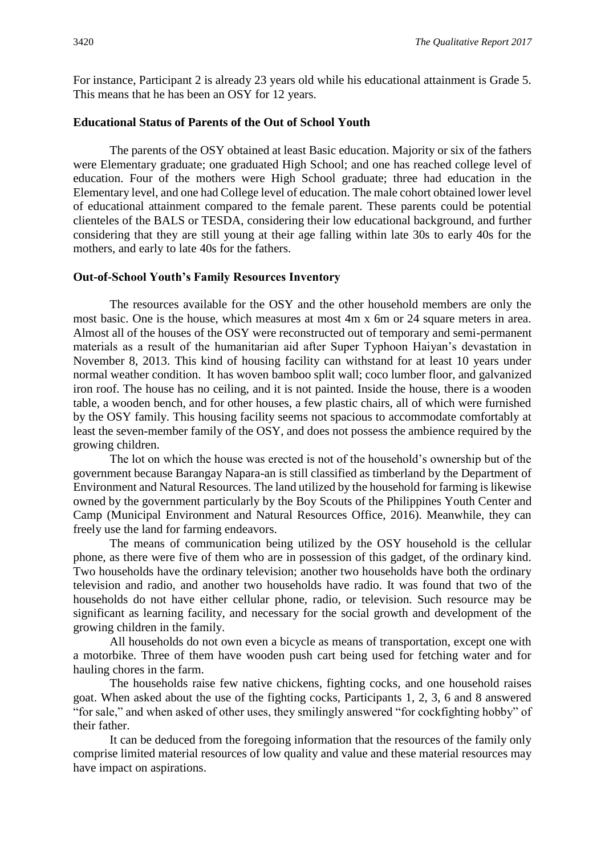For instance, Participant 2 is already 23 years old while his educational attainment is Grade 5. This means that he has been an OSY for 12 years.

#### **Educational Status of Parents of the Out of School Youth**

The parents of the OSY obtained at least Basic education. Majority or six of the fathers were Elementary graduate; one graduated High School; and one has reached college level of education. Four of the mothers were High School graduate; three had education in the Elementary level, and one had College level of education. The male cohort obtained lower level of educational attainment compared to the female parent. These parents could be potential clienteles of the BALS or TESDA, considering their low educational background, and further considering that they are still young at their age falling within late 30s to early 40s for the mothers, and early to late 40s for the fathers.

#### **Out-of-School Youth's Family Resources Inventory**

The resources available for the OSY and the other household members are only the most basic. One is the house, which measures at most 4m x 6m or 24 square meters in area. Almost all of the houses of the OSY were reconstructed out of temporary and semi-permanent materials as a result of the humanitarian aid after Super Typhoon Haiyan's devastation in November 8, 2013. This kind of housing facility can withstand for at least 10 years under normal weather condition. It has woven bamboo split wall; coco lumber floor, and galvanized iron roof. The house has no ceiling, and it is not painted. Inside the house, there is a wooden table, a wooden bench, and for other houses, a few plastic chairs, all of which were furnished by the OSY family. This housing facility seems not spacious to accommodate comfortably at least the seven-member family of the OSY, and does not possess the ambience required by the growing children.

The lot on which the house was erected is not of the household's ownership but of the government because Barangay Napara-an is still classified as timberland by the Department of Environment and Natural Resources. The land utilized by the household for farming is likewise owned by the government particularly by the Boy Scouts of the Philippines Youth Center and Camp (Municipal Environment and Natural Resources Office, 2016). Meanwhile, they can freely use the land for farming endeavors.

The means of communication being utilized by the OSY household is the cellular phone, as there were five of them who are in possession of this gadget, of the ordinary kind. Two households have the ordinary television; another two households have both the ordinary television and radio, and another two households have radio. It was found that two of the households do not have either cellular phone, radio, or television. Such resource may be significant as learning facility, and necessary for the social growth and development of the growing children in the family.

All households do not own even a bicycle as means of transportation, except one with a motorbike. Three of them have wooden push cart being used for fetching water and for hauling chores in the farm.

The households raise few native chickens, fighting cocks, and one household raises goat. When asked about the use of the fighting cocks, Participants 1, 2, 3, 6 and 8 answered "for sale," and when asked of other uses, they smilingly answered "for cockfighting hobby" of their father.

It can be deduced from the foregoing information that the resources of the family only comprise limited material resources of low quality and value and these material resources may have impact on aspirations.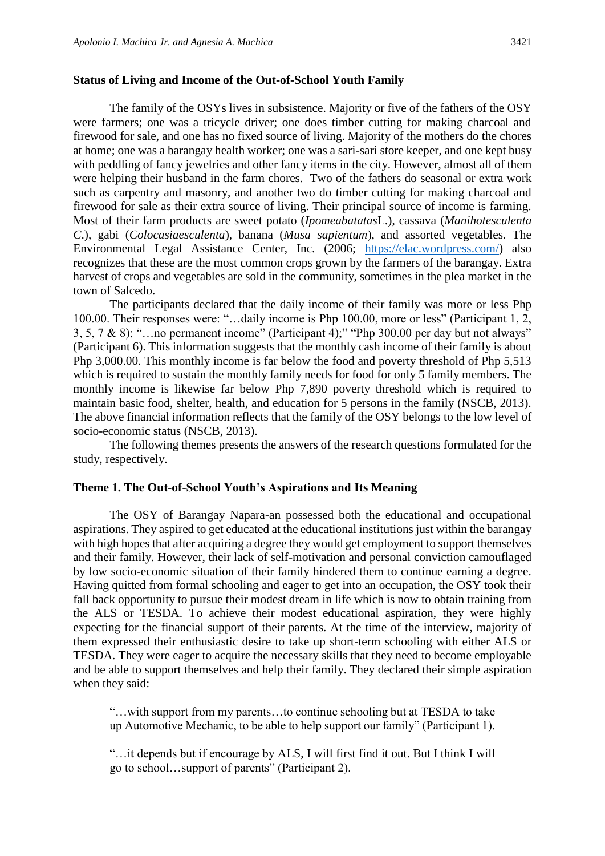#### **Status of Living and Income of the Out-of-School Youth Family**

The family of the OSYs lives in subsistence. Majority or five of the fathers of the OSY were farmers; one was a tricycle driver; one does timber cutting for making charcoal and firewood for sale, and one has no fixed source of living. Majority of the mothers do the chores at home; one was a barangay health worker; one was a sari-sari store keeper, and one kept busy with peddling of fancy jewelries and other fancy items in the city. However, almost all of them were helping their husband in the farm chores. Two of the fathers do seasonal or extra work such as carpentry and masonry, and another two do timber cutting for making charcoal and firewood for sale as their extra source of living. Their principal source of income is farming. Most of their farm products are sweet potato (*Ipomeabatatas*L.), cassava (*Manihotesculenta C*.), gabi (*Colocasiaesculenta*), banana (*Musa sapientum*), and assorted vegetables. The Environmental Legal Assistance Center, Inc. (2006; [https://elac.wordpress.com/\)](https://elac.wordpress.com/) also recognizes that these are the most common crops grown by the farmers of the barangay. Extra harvest of crops and vegetables are sold in the community, sometimes in the plea market in the town of Salcedo.

The participants declared that the daily income of their family was more or less Php 100.00. Their responses were: "…daily income is Php 100.00, more or less" (Participant 1, 2, 3, 5, 7 & 8); "…no permanent income" (Participant 4);" "Php 300.00 per day but not always" (Participant 6). This information suggests that the monthly cash income of their family is about Php 3,000.00. This monthly income is far below the food and poverty threshold of Php 5,513 which is required to sustain the monthly family needs for food for only 5 family members. The monthly income is likewise far below Php 7,890 poverty threshold which is required to maintain basic food, shelter, health, and education for 5 persons in the family (NSCB, 2013). The above financial information reflects that the family of the OSY belongs to the low level of socio-economic status (NSCB, 2013).

The following themes presents the answers of the research questions formulated for the study, respectively.

#### **Theme 1. The Out-of-School Youth's Aspirations and Its Meaning**

The OSY of Barangay Napara-an possessed both the educational and occupational aspirations. They aspired to get educated at the educational institutions just within the barangay with high hopes that after acquiring a degree they would get employment to support themselves and their family. However, their lack of self-motivation and personal conviction camouflaged by low socio-economic situation of their family hindered them to continue earning a degree. Having quitted from formal schooling and eager to get into an occupation, the OSY took their fall back opportunity to pursue their modest dream in life which is now to obtain training from the ALS or TESDA. To achieve their modest educational aspiration, they were highly expecting for the financial support of their parents. At the time of the interview, majority of them expressed their enthusiastic desire to take up short-term schooling with either ALS or TESDA. They were eager to acquire the necessary skills that they need to become employable and be able to support themselves and help their family. They declared their simple aspiration when they said:

"…with support from my parents…to continue schooling but at TESDA to take up Automotive Mechanic, to be able to help support our family" (Participant 1).

"…it depends but if encourage by ALS, I will first find it out. But I think I will go to school…support of parents" (Participant 2).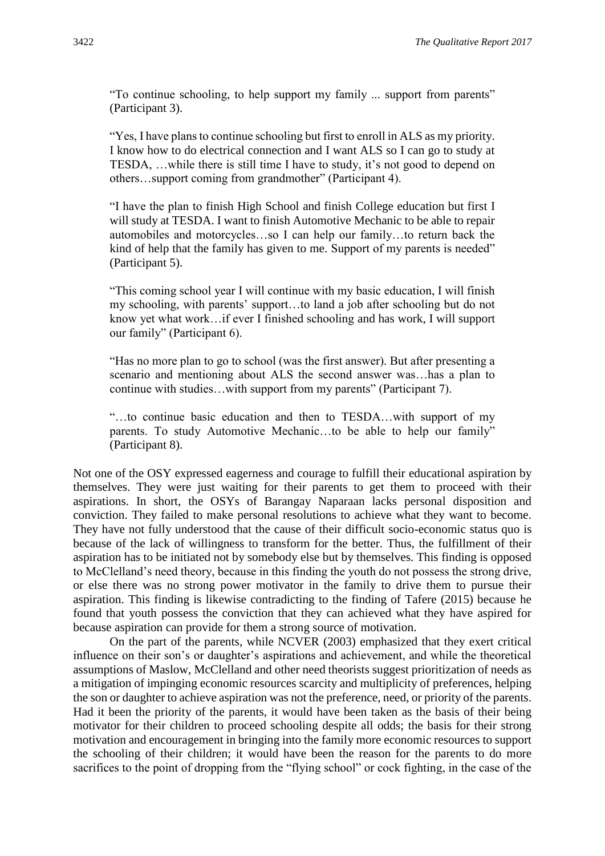"To continue schooling, to help support my family ... support from parents" (Participant 3).

"Yes, I have plans to continue schooling but first to enroll in ALS as my priority. I know how to do electrical connection and I want ALS so I can go to study at TESDA, …while there is still time I have to study, it's not good to depend on others…support coming from grandmother" (Participant 4).

"I have the plan to finish High School and finish College education but first I will study at TESDA. I want to finish Automotive Mechanic to be able to repair automobiles and motorcycles…so I can help our family…to return back the kind of help that the family has given to me. Support of my parents is needed" (Participant 5).

"This coming school year I will continue with my basic education, I will finish my schooling, with parents' support…to land a job after schooling but do not know yet what work…if ever I finished schooling and has work, I will support our family" (Participant 6).

"Has no more plan to go to school (was the first answer). But after presenting a scenario and mentioning about ALS the second answer was…has a plan to continue with studies…with support from my parents" (Participant 7).

"…to continue basic education and then to TESDA…with support of my parents. To study Automotive Mechanic…to be able to help our family" (Participant 8).

Not one of the OSY expressed eagerness and courage to fulfill their educational aspiration by themselves. They were just waiting for their parents to get them to proceed with their aspirations. In short, the OSYs of Barangay Naparaan lacks personal disposition and conviction. They failed to make personal resolutions to achieve what they want to become. They have not fully understood that the cause of their difficult socio-economic status quo is because of the lack of willingness to transform for the better. Thus, the fulfillment of their aspiration has to be initiated not by somebody else but by themselves. This finding is opposed to McClelland's need theory, because in this finding the youth do not possess the strong drive, or else there was no strong power motivator in the family to drive them to pursue their aspiration. This finding is likewise contradicting to the finding of Tafere (2015) because he found that youth possess the conviction that they can achieved what they have aspired for because aspiration can provide for them a strong source of motivation.

On the part of the parents, while NCVER (2003) emphasized that they exert critical influence on their son's or daughter's aspirations and achievement, and while the theoretical assumptions of Maslow, McClelland and other need theorists suggest prioritization of needs as a mitigation of impinging economic resources scarcity and multiplicity of preferences, helping the son or daughter to achieve aspiration was not the preference, need, or priority of the parents. Had it been the priority of the parents, it would have been taken as the basis of their being motivator for their children to proceed schooling despite all odds; the basis for their strong motivation and encouragement in bringing into the family more economic resources to support the schooling of their children; it would have been the reason for the parents to do more sacrifices to the point of dropping from the "flying school" or cock fighting, in the case of the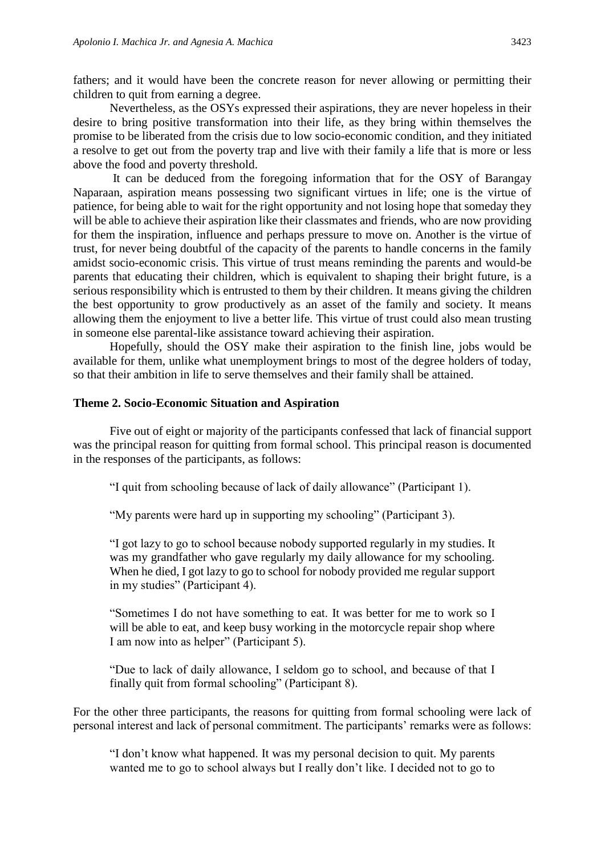fathers; and it would have been the concrete reason for never allowing or permitting their children to quit from earning a degree.

Nevertheless, as the OSYs expressed their aspirations, they are never hopeless in their desire to bring positive transformation into their life, as they bring within themselves the promise to be liberated from the crisis due to low socio-economic condition, and they initiated a resolve to get out from the poverty trap and live with their family a life that is more or less above the food and poverty threshold.

It can be deduced from the foregoing information that for the OSY of Barangay Naparaan, aspiration means possessing two significant virtues in life; one is the virtue of patience, for being able to wait for the right opportunity and not losing hope that someday they will be able to achieve their aspiration like their classmates and friends, who are now providing for them the inspiration, influence and perhaps pressure to move on. Another is the virtue of trust, for never being doubtful of the capacity of the parents to handle concerns in the family amidst socio-economic crisis. This virtue of trust means reminding the parents and would-be parents that educating their children, which is equivalent to shaping their bright future, is a serious responsibility which is entrusted to them by their children. It means giving the children the best opportunity to grow productively as an asset of the family and society. It means allowing them the enjoyment to live a better life. This virtue of trust could also mean trusting in someone else parental-like assistance toward achieving their aspiration.

Hopefully, should the OSY make their aspiration to the finish line, jobs would be available for them, unlike what unemployment brings to most of the degree holders of today, so that their ambition in life to serve themselves and their family shall be attained.

#### **Theme 2. Socio-Economic Situation and Aspiration**

Five out of eight or majority of the participants confessed that lack of financial support was the principal reason for quitting from formal school. This principal reason is documented in the responses of the participants, as follows:

"I quit from schooling because of lack of daily allowance" (Participant 1).

"My parents were hard up in supporting my schooling" (Participant 3).

"I got lazy to go to school because nobody supported regularly in my studies. It was my grandfather who gave regularly my daily allowance for my schooling. When he died, I got lazy to go to school for nobody provided me regular support in my studies" (Participant 4).

"Sometimes I do not have something to eat. It was better for me to work so I will be able to eat, and keep busy working in the motorcycle repair shop where I am now into as helper" (Participant 5).

"Due to lack of daily allowance, I seldom go to school, and because of that I finally quit from formal schooling" (Participant 8).

For the other three participants, the reasons for quitting from formal schooling were lack of personal interest and lack of personal commitment. The participants' remarks were as follows:

"I don't know what happened. It was my personal decision to quit. My parents wanted me to go to school always but I really don't like. I decided not to go to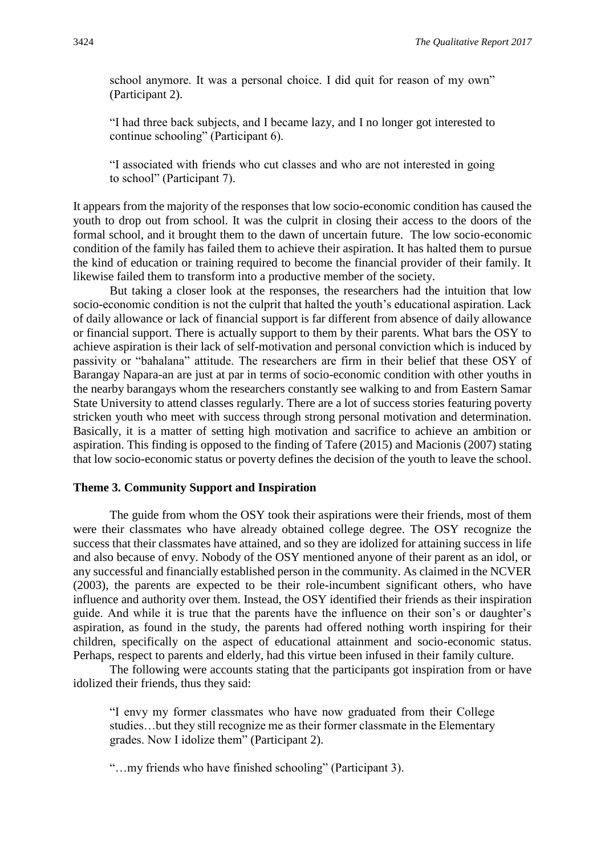school anymore. It was a personal choice. I did quit for reason of my own" (Participant 2).

"I had three back subjects, and I became lazy, and I no longer got interested to continue schooling" (Participant 6).

"I associated with friends who cut classes and who are not interested in going to school" (Participant 7).

It appears from the majority of the responses that low socio-economic condition has caused the youth to drop out from school. It was the culprit in closing their access to the doors of the formal school, and it brought them to the dawn of uncertain future. The low socio-economic condition of the family has failed them to achieve their aspiration. It has halted them to pursue the kind of education or training required to become the financial provider of their family. It likewise failed them to transform into a productive member of the society.

But taking a closer look at the responses, the researchers had the intuition that low socio-economic condition is not the culprit that halted the youth's educational aspiration. Lack of daily allowance or lack of financial support is far different from absence of daily allowance or financial support. There is actually support to them by their parents. What bars the OSY to achieve aspiration is their lack of self-motivation and personal conviction which is induced by passivity or "bahalana" attitude. The researchers are firm in their belief that these OSY of Barangay Napara-an are just at par in terms of socio-economic condition with other youths in the nearby barangays whom the researchers constantly see walking to and from Eastern Samar State University to attend classes regularly. There are a lot of success stories featuring poverty stricken youth who meet with success through strong personal motivation and determination. Basically, it is a matter of setting high motivation and sacrifice to achieve an ambition or aspiration. This finding is opposed to the finding of Tafere (2015) and Macionis (2007) stating that low socio-economic status or poverty defines the decision of the youth to leave the school.

#### **Theme 3. Community Support and Inspiration**

The guide from whom the OSY took their aspirations were their friends, most of them were their classmates who have already obtained college degree. The OSY recognize the success that their classmates have attained, and so they are idolized for attaining success in life and also because of envy. Nobody of the OSY mentioned anyone of their parent as an idol, or any successful and financially established person in the community. As claimed in the NCVER (2003), the parents are expected to be their role-incumbent significant others, who have influence and authority over them. Instead, the OSY identified their friends as their inspiration guide. And while it is true that the parents have the influence on their son's or daughter's aspiration, as found in the study, the parents had offered nothing worth inspiring for their children, specifically on the aspect of educational attainment and socio-economic status. Perhaps, respect to parents and elderly, had this virtue been infused in their family culture.

The following were accounts stating that the participants got inspiration from or have idolized their friends, thus they said:

"I envy my former classmates who have now graduated from their College studies…but they still recognize me as their former classmate in the Elementary grades. Now I idolize them" (Participant 2).

"…my friends who have finished schooling" (Participant 3).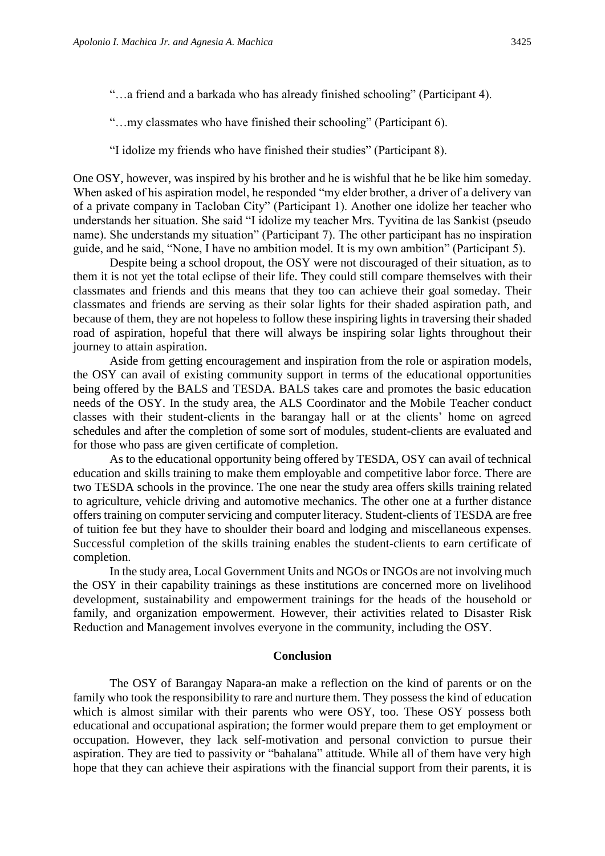"…a friend and a barkada who has already finished schooling" (Participant 4).

"…my classmates who have finished their schooling" (Participant 6).

"I idolize my friends who have finished their studies" (Participant 8).

One OSY, however, was inspired by his brother and he is wishful that he be like him someday. When asked of his aspiration model, he responded "my elder brother, a driver of a delivery van of a private company in Tacloban City" (Participant 1). Another one idolize her teacher who understands her situation. She said "I idolize my teacher Mrs. Tyvitina de las Sankist (pseudo name). She understands my situation" (Participant 7). The other participant has no inspiration guide, and he said, "None, I have no ambition model. It is my own ambition" (Participant 5).

Despite being a school dropout, the OSY were not discouraged of their situation, as to them it is not yet the total eclipse of their life. They could still compare themselves with their classmates and friends and this means that they too can achieve their goal someday. Their classmates and friends are serving as their solar lights for their shaded aspiration path, and because of them, they are not hopeless to follow these inspiring lights in traversing their shaded road of aspiration, hopeful that there will always be inspiring solar lights throughout their journey to attain aspiration.

Aside from getting encouragement and inspiration from the role or aspiration models, the OSY can avail of existing community support in terms of the educational opportunities being offered by the BALS and TESDA. BALS takes care and promotes the basic education needs of the OSY. In the study area, the ALS Coordinator and the Mobile Teacher conduct classes with their student-clients in the barangay hall or at the clients' home on agreed schedules and after the completion of some sort of modules, student-clients are evaluated and for those who pass are given certificate of completion.

As to the educational opportunity being offered by TESDA, OSY can avail of technical education and skills training to make them employable and competitive labor force. There are two TESDA schools in the province. The one near the study area offers skills training related to agriculture, vehicle driving and automotive mechanics. The other one at a further distance offers training on computer servicing and computer literacy. Student-clients of TESDA are free of tuition fee but they have to shoulder their board and lodging and miscellaneous expenses. Successful completion of the skills training enables the student-clients to earn certificate of completion.

In the study area, Local Government Units and NGOs or INGOs are not involving much the OSY in their capability trainings as these institutions are concerned more on livelihood development, sustainability and empowerment trainings for the heads of the household or family, and organization empowerment. However, their activities related to Disaster Risk Reduction and Management involves everyone in the community, including the OSY.

#### **Conclusion**

The OSY of Barangay Napara-an make a reflection on the kind of parents or on the family who took the responsibility to rare and nurture them. They possess the kind of education which is almost similar with their parents who were OSY, too. These OSY possess both educational and occupational aspiration; the former would prepare them to get employment or occupation. However, they lack self-motivation and personal conviction to pursue their aspiration. They are tied to passivity or "bahalana" attitude. While all of them have very high hope that they can achieve their aspirations with the financial support from their parents, it is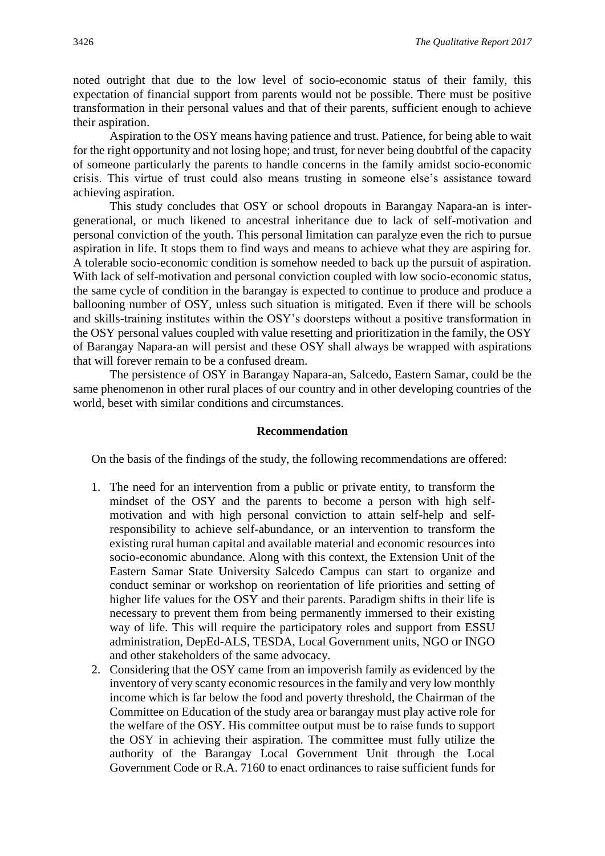noted outright that due to the low level of socio-economic status of their family, this expectation of financial support from parents would not be possible. There must be positive transformation in their personal values and that of their parents, sufficient enough to achieve their aspiration.

Aspiration to the OSY means having patience and trust. Patience, for being able to wait for the right opportunity and not losing hope; and trust, for never being doubtful of the capacity of someone particularly the parents to handle concerns in the family amidst socio-economic crisis. This virtue of trust could also means trusting in someone else's assistance toward achieving aspiration.

This study concludes that OSY or school dropouts in Barangay Napara-an is intergenerational, or much likened to ancestral inheritance due to lack of self-motivation and personal conviction of the youth. This personal limitation can paralyze even the rich to pursue aspiration in life. It stops them to find ways and means to achieve what they are aspiring for. A tolerable socio-economic condition is somehow needed to back up the pursuit of aspiration. With lack of self-motivation and personal conviction coupled with low socio-economic status, the same cycle of condition in the barangay is expected to continue to produce and produce a ballooning number of OSY, unless such situation is mitigated. Even if there will be schools and skills-training institutes within the OSY's doorsteps without a positive transformation in the OSY personal values coupled with value resetting and prioritization in the family, the OSY of Barangay Napara-an will persist and these OSY shall always be wrapped with aspirations that will forever remain to be a confused dream.

The persistence of OSY in Barangay Napara-an, Salcedo, Eastern Samar, could be the same phenomenon in other rural places of our country and in other developing countries of the world, beset with similar conditions and circumstances.

#### **Recommendation**

On the basis of the findings of the study, the following recommendations are offered:

- 1. The need for an intervention from a public or private entity, to transform the mindset of the OSY and the parents to become a person with high selfmotivation and with high personal conviction to attain self-help and selfresponsibility to achieve self-abundance, or an intervention to transform the existing rural human capital and available material and economic resources into socio-economic abundance. Along with this context, the Extension Unit of the Eastern Samar State University Salcedo Campus can start to organize and conduct seminar or workshop on reorientation of life priorities and setting of higher life values for the OSY and their parents. Paradigm shifts in their life is necessary to prevent them from being permanently immersed to their existing way of life. This will require the participatory roles and support from ESSU administration, DepEd-ALS, TESDA, Local Government units, NGO or INGO and other stakeholders of the same advocacy.
- 2. Considering that the OSY came from an impoverish family as evidenced by the inventory of very scanty economic resources in the family and very low monthly income which is far below the food and poverty threshold, the Chairman of the Committee on Education of the study area or barangay must play active role for the welfare of the OSY. His committee output must be to raise funds to support the OSY in achieving their aspiration. The committee must fully utilize the authority of the Barangay Local Government Unit through the Local Government Code or R.A. 7160 to enact ordinances to raise sufficient funds for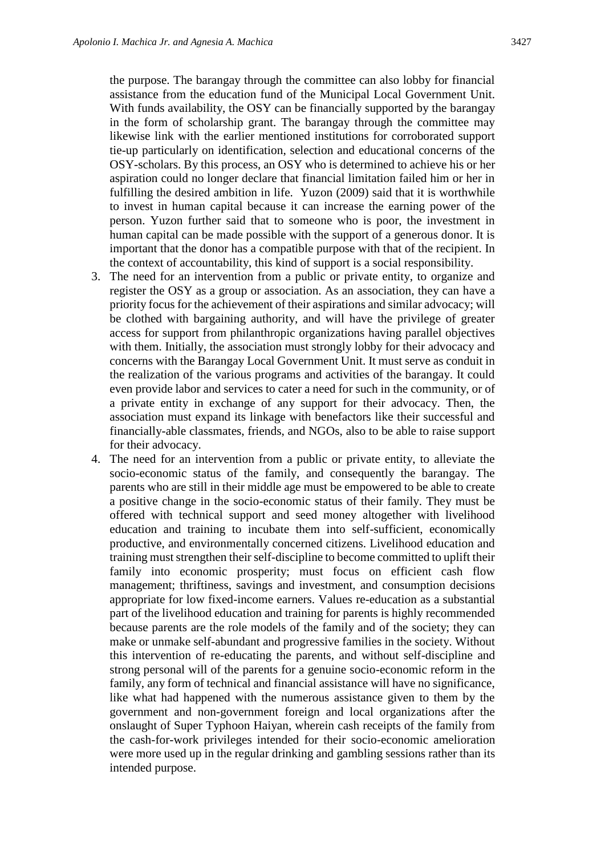the purpose. The barangay through the committee can also lobby for financial assistance from the education fund of the Municipal Local Government Unit. With funds availability, the OSY can be financially supported by the barangay in the form of scholarship grant. The barangay through the committee may likewise link with the earlier mentioned institutions for corroborated support tie-up particularly on identification, selection and educational concerns of the OSY-scholars. By this process, an OSY who is determined to achieve his or her aspiration could no longer declare that financial limitation failed him or her in fulfilling the desired ambition in life. Yuzon (2009) said that it is worthwhile to invest in human capital because it can increase the earning power of the person. Yuzon further said that to someone who is poor, the investment in human capital can be made possible with the support of a generous donor. It is important that the donor has a compatible purpose with that of the recipient. In the context of accountability, this kind of support is a social responsibility.

- 3. The need for an intervention from a public or private entity, to organize and register the OSY as a group or association. As an association, they can have a priority focus for the achievement of their aspirations and similar advocacy; will be clothed with bargaining authority, and will have the privilege of greater access for support from philanthropic organizations having parallel objectives with them. Initially, the association must strongly lobby for their advocacy and concerns with the Barangay Local Government Unit. It must serve as conduit in the realization of the various programs and activities of the barangay. It could even provide labor and services to cater a need for such in the community, or of a private entity in exchange of any support for their advocacy. Then, the association must expand its linkage with benefactors like their successful and financially-able classmates, friends, and NGOs, also to be able to raise support for their advocacy.
- 4. The need for an intervention from a public or private entity, to alleviate the socio-economic status of the family, and consequently the barangay. The parents who are still in their middle age must be empowered to be able to create a positive change in the socio-economic status of their family. They must be offered with technical support and seed money altogether with livelihood education and training to incubate them into self-sufficient, economically productive, and environmentally concerned citizens. Livelihood education and training must strengthen their self-discipline to become committed to uplift their family into economic prosperity; must focus on efficient cash flow management; thriftiness, savings and investment, and consumption decisions appropriate for low fixed-income earners. Values re-education as a substantial part of the livelihood education and training for parents is highly recommended because parents are the role models of the family and of the society; they can make or unmake self-abundant and progressive families in the society. Without this intervention of re-educating the parents, and without self-discipline and strong personal will of the parents for a genuine socio-economic reform in the family, any form of technical and financial assistance will have no significance, like what had happened with the numerous assistance given to them by the government and non-government foreign and local organizations after the onslaught of Super Typhoon Haiyan, wherein cash receipts of the family from the cash-for-work privileges intended for their socio-economic amelioration were more used up in the regular drinking and gambling sessions rather than its intended purpose.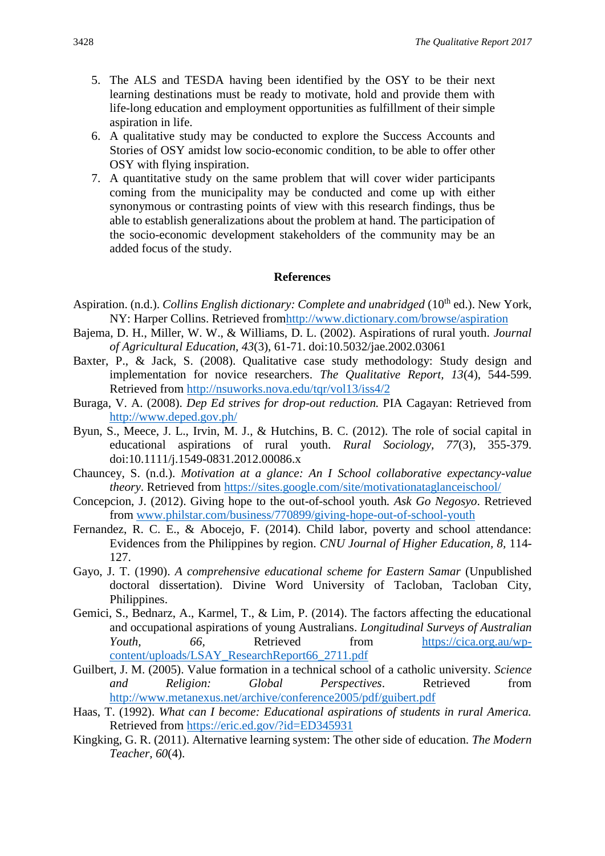- 5. The ALS and TESDA having been identified by the OSY to be their next learning destinations must be ready to motivate, hold and provide them with life-long education and employment opportunities as fulfillment of their simple aspiration in life.
- 6. A qualitative study may be conducted to explore the Success Accounts and Stories of OSY amidst low socio-economic condition, to be able to offer other OSY with flying inspiration.
- 7. A quantitative study on the same problem that will cover wider participants coming from the municipality may be conducted and come up with either synonymous or contrasting points of view with this research findings, thus be able to establish generalizations about the problem at hand. The participation of the socio-economic development stakeholders of the community may be an added focus of the study.

#### **References**

- Aspiration. (n.d.). *Collins English dictionary: Complete and unabridged* (10<sup>th</sup> ed.). New York, NY: Harper Collins. Retrieved fro[mhttp://www.dictionary.com/browse/aspiration](http://www.dictionary.com/browse/aspiration)
- Bajema, D. H., Miller, W. W., & Williams, D. L. (2002). Aspirations of rural youth. *Journal of Agricultural Education, 43*(3), 61-71. doi:10.5032/jae.2002.03061
- Baxter, P., & Jack, S. (2008). Qualitative case study methodology: Study design and implementation for novice researchers. *The Qualitative Report, 13*(4), 544-599. Retrieved from<http://nsuworks.nova.edu/tqr/vol13/iss4/2>
- Buraga, V. A. (2008). *Dep Ed strives for drop-out reduction.* PIA Cagayan: Retrieved from <http://www.deped.gov.ph/>
- Byun, S., Meece, J. L., Irvin, M. J., & Hutchins, B. C. (2012). The role of social capital in educational aspirations of rural youth. *Rural Sociology, 77*(3), 355-379. doi:10.1111/j.1549-0831.2012.00086.x
- Chauncey, S. (n.d.). *Motivation at a glance: An I School collaborative expectancy-value theory*. Retrieved from<https://sites.google.com/site/motivationataglanceischool/>
- Concepcion, J. (2012). Giving hope to the out-of-school youth*. Ask Go Negosyo*. Retrieved from [www.philstar.com/business/770899/giving-hope-out-of-school-youth](http://www.philstar.com/business/770899/giving-hope-out-of-school-youth)
- Fernandez, R. C. E., & Abocejo, F. (2014). Child labor, poverty and school attendance: Evidences from the Philippines by region. *CNU Journal of Higher Education, 8,* 114- 127.
- Gayo, J. T. (1990). *A comprehensive educational scheme for Eastern Samar* (Unpublished doctoral dissertation). Divine Word University of Tacloban, Tacloban City, Philippines.
- Gemici, S., Bednarz, A., Karmel, T., & Lim, P. (2014). The factors affecting the educational and occupational aspirations of young Australians. *Longitudinal Surveys of Australian Youth*, 66, Retrieved from [https://cica.org.au/wp](https://cica.org.au/wp-content/uploads/LSAY_ResearchReport66_2711.pdf)[content/uploads/LSAY\\_ResearchReport66\\_2711.pdf](https://cica.org.au/wp-content/uploads/LSAY_ResearchReport66_2711.pdf)
- Guilbert, J. M. (2005). Value formation in a technical school of a catholic university. *Science and Religion: Global Perspectives*. Retrieved from <http://www.metanexus.net/archive/conference2005/pdf/guibert.pdf>
- Haas, T. (1992). *What can I become: Educational aspirations of students in rural America.* Retrieved from<https://eric.ed.gov/?id=ED345931>
- Kingking, G. R. (2011). Alternative learning system: The other side of education. *The Modern Teacher, 60*(4).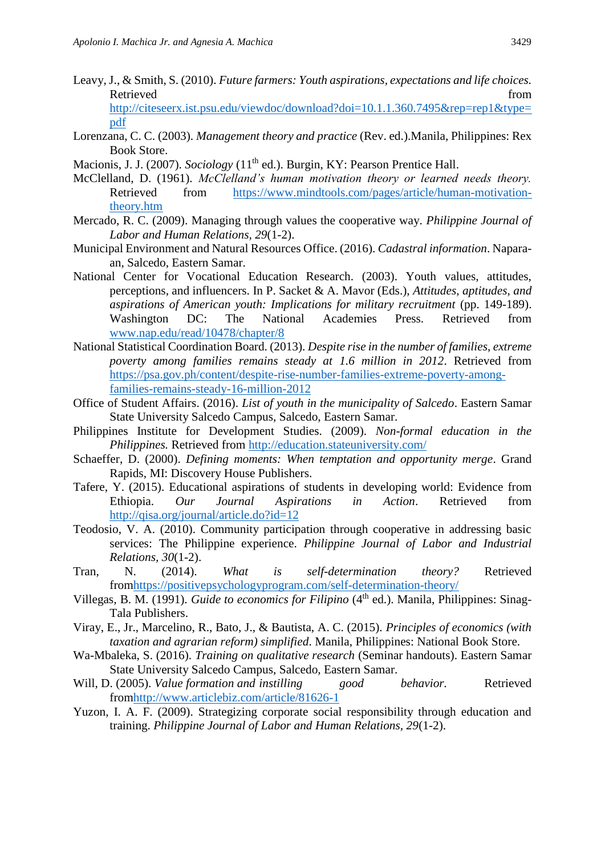- Leavy, J., & Smith, S. (2010). *Future farmers: Youth aspirations, expectations and life choices.* Retrieved from the state of the state of the state of the state of the state of the state of the state of the state of the state of the state of the state of the state of the state of the state of the state of the state of [http://citeseerx.ist.psu.edu/viewdoc/download?doi=10.1.1.360.7495&rep=rep1&type=](http://citeseerx.ist.psu.edu/viewdoc/download?doi=10.1.1.360.7495&rep=rep1&type=pdf) [pdf](http://citeseerx.ist.psu.edu/viewdoc/download?doi=10.1.1.360.7495&rep=rep1&type=pdf)
- Lorenzana, C. C. (2003). *Management theory and practice* (Rev. ed.).Manila, Philippines: Rex Book Store.
- Macionis, J. J. (2007). *Sociology* (11<sup>th</sup> ed.). Burgin, KY: Pearson Prentice Hall.
- McClelland, D. (1961). *McClelland's human motivation theory or learned needs theory.* Retrieved from [https://www.mindtools.com/pages/article/human-motivation](https://www.mindtools.com/pages/article/human-motivation-theory.htm)[theory.htm](https://www.mindtools.com/pages/article/human-motivation-theory.htm)
- Mercado, R. C. (2009). Managing through values the cooperative way. *Philippine Journal of Labor and Human Relations, 29*(1-2).
- Municipal Environment and Natural Resources Office. (2016). *Cadastral information*. Naparaan, Salcedo, Eastern Samar.
- National Center for Vocational Education Research. (2003). Youth values, attitudes, perceptions, and influencers. In P. Sacket & A. Mavor (Eds.), *Attitudes, aptitudes, and aspirations of American youth: Implications for military recruitment* (pp. 149-189). Washington DC: The National Academies Press. Retrieved from [www.nap.edu/read/10478/chapter/8](http://www.nap.edu/read/10478/chapter/8)
- National Statistical Coordination Board. (2013). *Despite rise in the number of families, extreme poverty among families remains steady at 1.6 million in 2012*. Retrieved from [https://psa.gov.ph/content/despite-rise-number-families-extreme-poverty-among](https://psa.gov.ph/content/despite-rise-number-families-extreme-poverty-among-families-remains-steady-16-million-2012)[families-remains-steady-16-million-2012](https://psa.gov.ph/content/despite-rise-number-families-extreme-poverty-among-families-remains-steady-16-million-2012)
- Office of Student Affairs. (2016). *List of youth in the municipality of Salcedo*. Eastern Samar State University Salcedo Campus, Salcedo, Eastern Samar.
- Philippines Institute for Development Studies. (2009). *Non-formal education in the Philippines.* Retrieved from<http://education.stateuniversity.com/>
- Schaeffer, D. (2000). *Defining moments: When temptation and opportunity merge*. Grand Rapids, MI: Discovery House Publishers.
- Tafere, Y. (2015). Educational aspirations of students in developing world: Evidence from Ethiopia. *Our Journal Aspirations in Action*. Retrieved from <http://qisa.org/journal/article.do?id=12>
- Teodosio, V. A. (2010). Community participation through cooperative in addressing basic services: The Philippine experience. *Philippine Journal of Labor and Industrial Relations, 30*(1-2).
- Tran, N. (2014). *What is self-determination theory?* Retrieved fro[mhttps://positivepsychologyprogram.com/self-determination-theory/](https://positivepsychologyprogram.com/self-determination-theory/)
- Villegas, B. M. (1991). *Guide to economics for Filipino* (4<sup>th</sup> ed.). Manila, Philippines: Sinag-Tala Publishers.
- Viray, E., Jr., Marcelino, R., Bato, J., & Bautista, A. C. (2015). *Principles of economics (with taxation and agrarian reform) simplified*. Manila, Philippines: National Book Store.
- Wa-Mbaleka, S. (2016). *Training on qualitative research* (Seminar handouts). Eastern Samar State University Salcedo Campus, Salcedo, Eastern Samar.
- Will, D. (2005). *Value formation and instilling good behavior.* Retrieved fro[mhttp://www.articlebiz.com/article/81626-1](http://www.articlebiz.com/article/81626-1)
- Yuzon, I. A. F. (2009). Strategizing corporate social responsibility through education and training. *Philippine Journal of Labor and Human Relations, 29*(1-2).